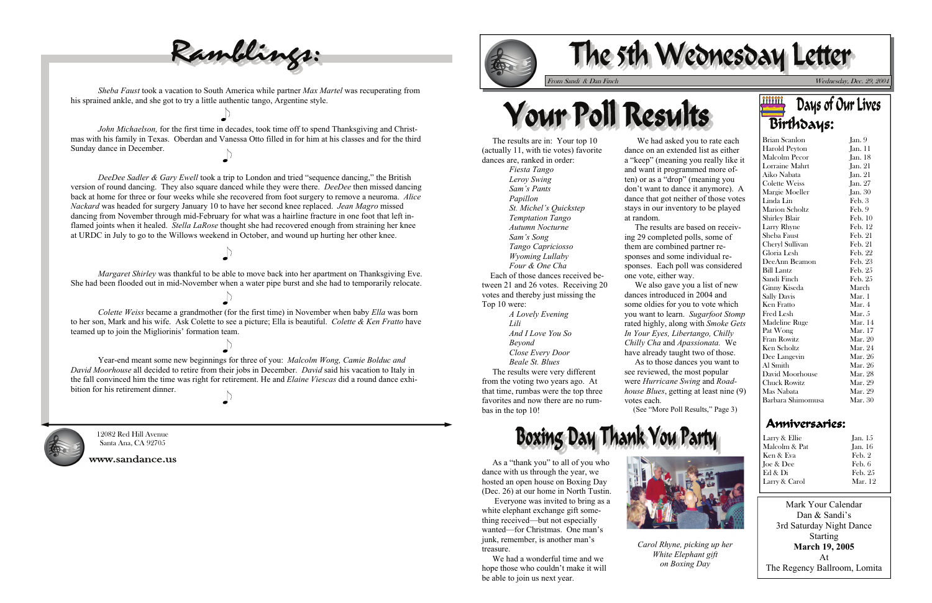



Wednesday, Dec. 29, 2004



 As a "thank you" to all of you who dance with us through the year, we hosted an open house on Boxing Day (Dec. 26) at our home in North Tustin.

| Brian Scanlon         | Jan. 9         |
|-----------------------|----------------|
| Harold Peyton         | Jan. 11        |
| Malcolm Pecor         | Jan. 18        |
| Lorraine Mahrt        | Jan. 21        |
| Aiko Nabata           | Jan. 21        |
| <b>Colette Weiss</b>  | Jan. 27        |
| Margie Moeller        | Jan. $30$      |
| Linda Lin             | Feb. 3         |
| <b>Marion Scholtz</b> | Feb.9          |
| Shirley Blair         | Feb. 10        |
| Larry Rhyne           | Feb. 12        |
| Sheba Faust           | Feb. 21        |
| Cheryl Sullivan       | Feb. 21        |
| Gloria Lesh           | Feb. 22        |
| DeeAnn Beamon         | Feb. 23        |
| <b>Bill Lantz</b>     | Feb. 25        |
| Sandi Finch           | Feb. 25        |
| Ginny Kiseda          | March          |
| <b>Sally Davis</b>    | Mar. 1         |
| Ken Fratto            | Mar. 4         |
| Fred Lesh             | Mar. $5$       |
| Madeline Ruge         | Mar. 14        |
| Pat Wong              | Mar. 17        |
| Fran Rowitz           | Mar. 20        |
| Ken Scholtz           | Mar. 24        |
| Dee Langevin          | Mar. 26        |
| Al Smith              | Mar. 26        |
| David Moorhouse       | <b>Mar. 28</b> |
| <b>Chuck Rowitz</b>   | Mar. 29        |
| Mas Nabata            | Mar. 29        |
| Barbara Shimomusa     | Mar. 30        |

 Everyone was invited to bring as a white elephant exchange gift something received—but not especially wanted—for Christmas. One man's junk, remember, is another man's treasure.

 We had a wonderful time and we hope those who couldn't make it will be able to join us next year.



 The results are in: Your top 10 (actually 11, with tie votes) favorite dances are, ranked in order:

*Fiesta Tango Leroy Swing Sam's Pants Papillon St. Michel's Quickstep Temptation Tango Autumn Nocturne Sam's Song Tango Capriciosso Wyoming Lullaby Four & One Cha* Each of those dances received between 21 and 26 votes. Receiving 20 votes and thereby just missing the Top 10 were:

> *A Lovely Evening Lili And I Love You So Beyond Close Every Door Beale St. Blues*

 The results were very different from the voting two years ago. At that time, rumbas were the top three favorites and now there are no rumbas in the top 10!

*DeeDee Sadler & Gary Ewell* took a trip to London and tried "sequence dancing," the British version of round dancing. They also square danced while they were there. *DeeDee* then missed dancing back at home for three or four weeks while she recovered from foot surgery to remove a neuroma. *Alice Nackard* was headed for surgery January 10 to have her second knee replaced. *Jean Magro* missed dancing from November through mid-February for what was a hairline fracture in one foot that left inflamed joints when it healed. *Stella LaRose* thought she had recovered enough from straining her knee at URDC in July to go to the Willows weekend in October, and wound up hurting her other knee.

| Larry & Ellie  | Jan. $15$      |
|----------------|----------------|
| Malcolm & Pat. | <b>Jan.</b> 16 |
| Ken & Eva      | Feb. 2         |
| Joe & Dee      | Feb. 6         |
| Ed & Di        | Feb. 25        |
| Larry & Carol  | <b>Mar.</b> 12 |

 We had asked you to rate each dance on an extended list as either <sup>a</sup>"keep" (meaning you really like it and want it programmed more often) or as a "drop" (meaning you don't want to dance it anymore). A dance that got neither of those votes stays in our inventory to be played at random.

 Year-end meant some new beginnings for three of you: *Malcolm Wong, Camie Bolduc and David Moorhouse* all decided to retire from their jobs in December. *David* said his vacation to Italy in the fall convinced him the time was right for retirement. He and *Elaine Viescas* did a round dance exhibition for his retirement dinner.  $\bigcup$ 



 The results are based on receiving 29 completed polls, some of them are combined partner responses and some individual responses. Each poll was considered one vote, either way.

 We also gave you a list of new dances introduced in 2004 and some oldies for you to vote which you want to learn. *Sugarfoot Stomp* rated highly, along with *Smoke Gets In Your Eyes, Libertango, Chilly Chilly Cha* and *Apassionata.* We have already taught two of those. As to those dances you want to see reviewed, the most popular were *Hurricane Swing* and *Roadhouse Blues*, getting at least nine (9)

votes each.

# Boxing Day Thank You Party

(See "More Poll Results," Page 3)



*Carol Rhyne, picking up her White Elephant gift on Boxing Day* 

## <u>iiiiii</u> Days of Our Lives Birthdays:

12082 Red Hill Avenue Santa Ana, CA 92705

www.sandance.us



*Sheba Faust* took a vacation to South America while partner *Max Martel* was recuperating from his sprained ankle, and she got to try a little authentic tango, Argentine style.

*John Michaelson,* for the first time in decades, took time off to spend Thanksgiving and Christmas with his family in Texas. Oberdan and Vanessa Otto filled in for him at his classes and for the third Sunday dance in December.

 *Margaret Shirley* was thankful to be able to move back into her apartment on Thanksgiving Eve. She had been flooded out in mid-November when a water pipe burst and she had to temporarily relocate.

*Colette Weiss* became a grandmother (for the first time) in November when baby *Ella* was born to her son, Mark and his wife. Ask Colette to see a picture; Ella is beautiful. *Colette & Ken Fratto* have teamed up to join the Migliorinis' formation team.

Mark Your Calendar Dan & Sandi's 3rd Saturday Night Dance Starting **March 19, 2005**  At The Regency Ballroom, Lomita

# Anniversaries: